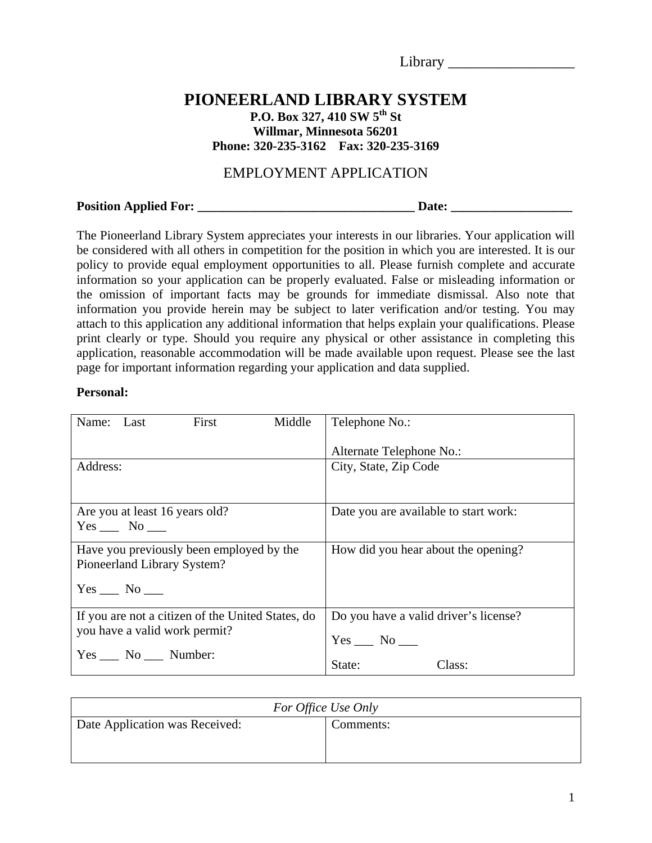| Ī<br>- |  |  |  |  |  |
|--------|--|--|--|--|--|
|        |  |  |  |  |  |

# **PIONEERLAND LIBRARY SYSTEM**

**P.O. Box 327, 410 SW 5th St Willmar, Minnesota 56201 Phone: 320-235-3162 Fax: 320-235-3169** 

## EMPLOYMENT APPLICATION

**Position Applied For: \_\_\_\_\_\_\_\_\_\_\_\_\_\_\_\_\_\_\_\_\_\_\_\_\_\_\_\_\_\_\_\_\_\_ Date: \_\_\_\_\_\_\_\_\_\_\_\_\_\_\_\_\_\_\_** 

The Pioneerland Library System appreciates your interests in our libraries. Your application will be considered with all others in competition for the position in which you are interested. It is our policy to provide equal employment opportunities to all. Please furnish complete and accurate information so your application can be properly evaluated. False or misleading information or the omission of important facts may be grounds for immediate dismissal. Also note that information you provide herein may be subject to later verification and/or testing. You may attach to this application any additional information that helps explain your qualifications. Please print clearly or type. Should you require any physical or other assistance in completing this application, reasonable accommodation will be made available upon request. Please see the last page for important information regarding your application and data supplied.

#### **Personal:**

| First<br>Name: Last                               | Middle | Telephone No.:                        |
|---------------------------------------------------|--------|---------------------------------------|
|                                                   |        | Alternate Telephone No.:              |
| Address:                                          |        | City, State, Zip Code                 |
|                                                   |        |                                       |
| Are you at least 16 years old?                    |        | Date you are available to start work: |
| $Yes$ No $\_\_$                                   |        |                                       |
| Have you previously been employed by the          |        | How did you hear about the opening?   |
| Pioneerland Library System?                       |        |                                       |
| $Yes$ No $\_\_$                                   |        |                                       |
| If you are not a citizen of the United States, do |        | Do you have a valid driver's license? |
| you have a valid work permit?                     |        | $Yes \_\_ No \_\_$                    |
| $Yes \_\_ No \_\_$ Number:                        |        | State:<br>Class:                      |

| For Office Use Only                         |  |  |
|---------------------------------------------|--|--|
| Date Application was Received:<br>Comments: |  |  |
|                                             |  |  |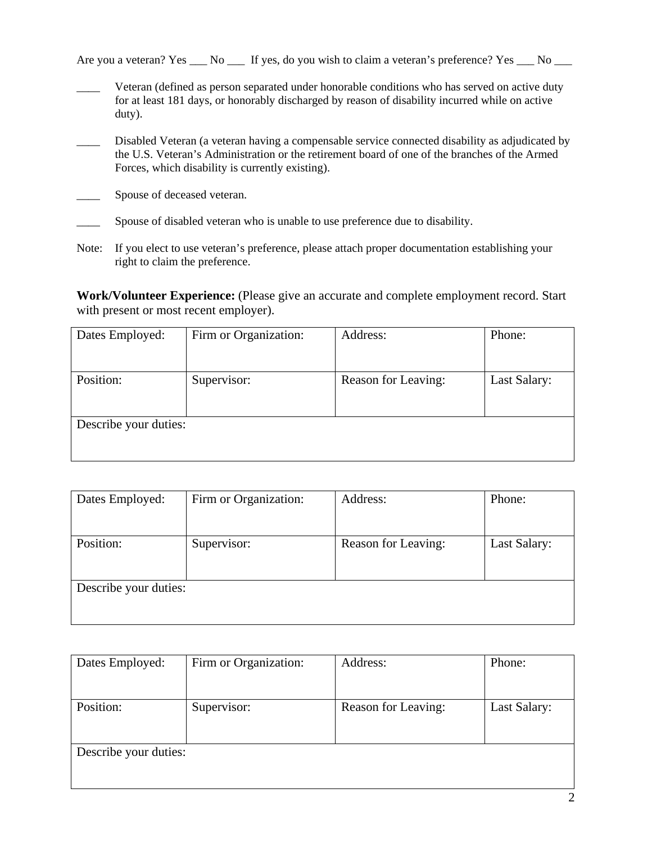Are you a veteran? Yes \_\_\_ No \_\_\_ If yes, do you wish to claim a veteran's preference? Yes \_\_\_ No \_\_\_

- Veteran (defined as person separated under honorable conditions who has served on active duty for at least 181 days, or honorably discharged by reason of disability incurred while on active duty).
- Disabled Veteran (a veteran having a compensable service connected disability as adjudicated by the U.S. Veteran's Administration or the retirement board of one of the branches of the Armed Forces, which disability is currently existing).
- **EXECUTE:** Spouse of deceased veteran.
- \_\_\_\_ Spouse of disabled veteran who is unable to use preference due to disability.
- Note: If you elect to use veteran's preference, please attach proper documentation establishing your right to claim the preference.

**Work/Volunteer Experience:** (Please give an accurate and complete employment record. Start with present or most recent employer).

| Dates Employed:       | Firm or Organization: | Address:            | Phone:       |
|-----------------------|-----------------------|---------------------|--------------|
|                       |                       |                     |              |
|                       |                       |                     |              |
| Position:             | Supervisor:           | Reason for Leaving: | Last Salary: |
|                       |                       |                     |              |
|                       |                       |                     |              |
| Describe your duties: |                       |                     |              |
|                       |                       |                     |              |
|                       |                       |                     |              |

| Dates Employed:       | Firm or Organization: | Address:            | Phone:       |
|-----------------------|-----------------------|---------------------|--------------|
|                       |                       |                     |              |
|                       |                       |                     |              |
| Position:             | Supervisor:           | Reason for Leaving: | Last Salary: |
|                       |                       |                     |              |
|                       |                       |                     |              |
| Describe your duties: |                       |                     |              |
|                       |                       |                     |              |
|                       |                       |                     |              |

| Dates Employed:       | Firm or Organization: | Address:            | Phone:       |
|-----------------------|-----------------------|---------------------|--------------|
|                       |                       |                     |              |
|                       |                       |                     |              |
| Position:             | Supervisor:           | Reason for Leaving: | Last Salary: |
|                       |                       |                     |              |
|                       |                       |                     |              |
| Describe your duties: |                       |                     |              |
|                       |                       |                     |              |
|                       |                       |                     |              |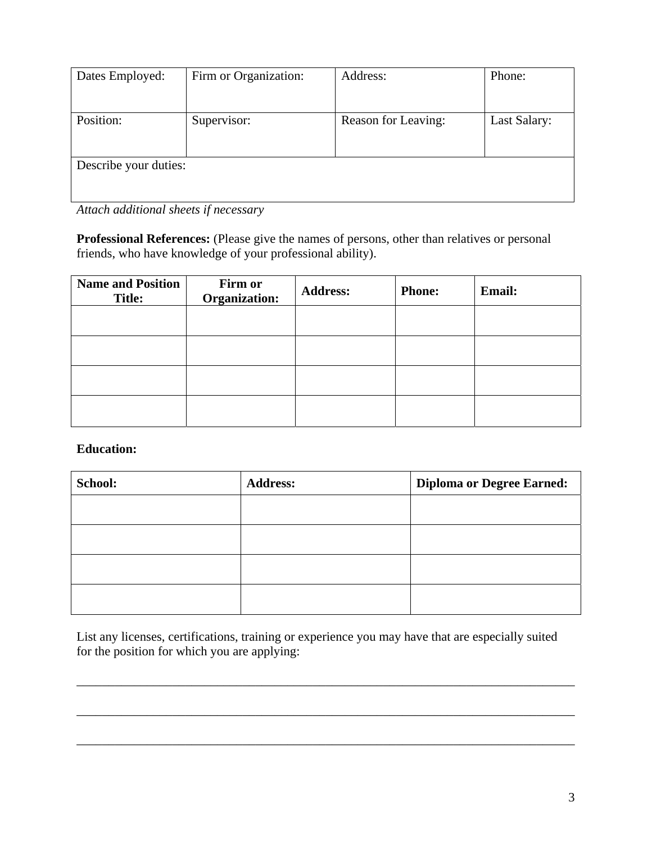| Dates Employed:       | Firm or Organization: | Address:            | Phone:       |
|-----------------------|-----------------------|---------------------|--------------|
|                       |                       |                     |              |
|                       |                       |                     |              |
| Position:             | Supervisor:           | Reason for Leaving: | Last Salary: |
|                       |                       |                     |              |
|                       |                       |                     |              |
| Describe your duties: |                       |                     |              |
|                       |                       |                     |              |
|                       |                       |                     |              |

*Attach additional sheets if necessary* 

**Professional References:** (Please give the names of persons, other than relatives or personal friends, who have knowledge of your professional ability).

| <b>Name and Position</b><br><b>Title:</b> | Firm or<br>Organization: | <b>Address:</b> | <b>Phone:</b> | <b>Email:</b> |
|-------------------------------------------|--------------------------|-----------------|---------------|---------------|
|                                           |                          |                 |               |               |
|                                           |                          |                 |               |               |
|                                           |                          |                 |               |               |
|                                           |                          |                 |               |               |

### **Education:**

| School: | <b>Address:</b> | <b>Diploma or Degree Earned:</b> |
|---------|-----------------|----------------------------------|
|         |                 |                                  |
|         |                 |                                  |
|         |                 |                                  |
|         |                 |                                  |

List any licenses, certifications, training or experience you may have that are especially suited for the position for which you are applying:

\_\_\_\_\_\_\_\_\_\_\_\_\_\_\_\_\_\_\_\_\_\_\_\_\_\_\_\_\_\_\_\_\_\_\_\_\_\_\_\_\_\_\_\_\_\_\_\_\_\_\_\_\_\_\_\_\_\_\_\_\_\_\_\_\_\_\_\_\_\_\_\_\_\_\_\_\_\_

\_\_\_\_\_\_\_\_\_\_\_\_\_\_\_\_\_\_\_\_\_\_\_\_\_\_\_\_\_\_\_\_\_\_\_\_\_\_\_\_\_\_\_\_\_\_\_\_\_\_\_\_\_\_\_\_\_\_\_\_\_\_\_\_\_\_\_\_\_\_\_\_\_\_\_\_\_\_